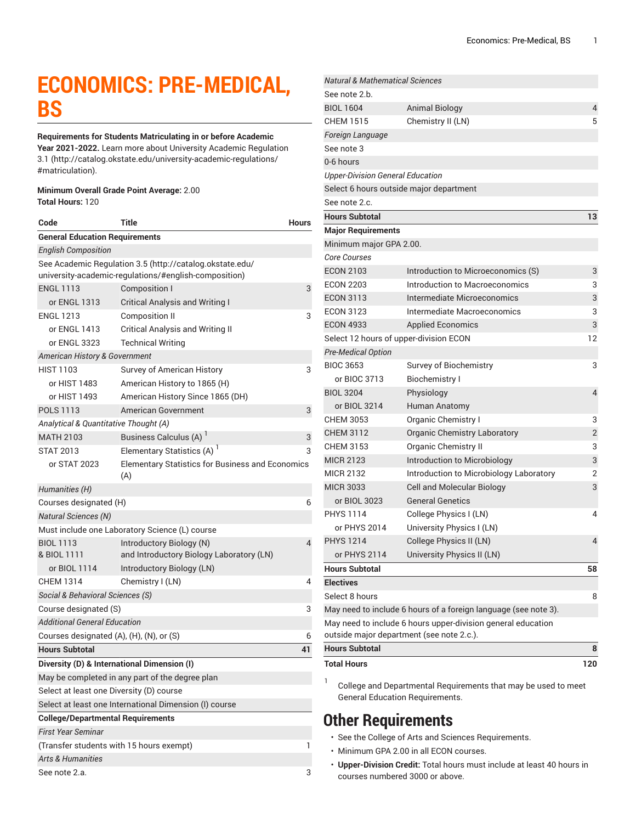# **ECONOMICS: PRE-MEDICAL, BS**

**Requirements for Students Matriculating in or before Academic Year 2021-2022.** Learn more about University Academic [Regulation](http://catalog.okstate.edu/university-academic-regulations/#matriculation) [3.1](http://catalog.okstate.edu/university-academic-regulations/#matriculation) ([http://catalog.okstate.edu/university-academic-regulations/](http://catalog.okstate.edu/university-academic-regulations/#matriculation) [#matriculation\)](http://catalog.okstate.edu/university-academic-regulations/#matriculation).

#### **Minimum Overall Grade Point Average:** 2.00 **Total Hours:** 120

| Code                                        | Title                                                                                                             | <b>Hours</b> |  |
|---------------------------------------------|-------------------------------------------------------------------------------------------------------------------|--------------|--|
| <b>General Education Requirements</b>       |                                                                                                                   |              |  |
| <b>English Composition</b>                  |                                                                                                                   |              |  |
|                                             | See Academic Regulation 3.5 (http://catalog.okstate.edu/<br>university-academic-regulations/#english-composition) |              |  |
| <b>ENGL 1113</b>                            | Composition I                                                                                                     | 3            |  |
| or ENGL 1313                                | <b>Critical Analysis and Writing I</b>                                                                            |              |  |
| <b>ENGL 1213</b>                            | Composition II                                                                                                    | 3            |  |
| or ENGL 1413                                | <b>Critical Analysis and Writing II</b>                                                                           |              |  |
| or ENGL 3323                                | <b>Technical Writing</b>                                                                                          |              |  |
| American History & Government               |                                                                                                                   |              |  |
| <b>HIST 1103</b>                            | Survey of American History                                                                                        | 3            |  |
| or HIST 1483                                | American History to 1865 (H)                                                                                      |              |  |
| or HIST 1493                                | American History Since 1865 (DH)                                                                                  |              |  |
| <b>POLS 1113</b>                            | American Government                                                                                               | 3            |  |
| Analytical & Quantitative Thought (A)       |                                                                                                                   |              |  |
| <b>MATH 2103</b>                            | Business Calculus (A) <sup>1</sup>                                                                                | 3            |  |
| <b>STAT 2013</b>                            | Elementary Statistics (A) <sup>1</sup>                                                                            | 3            |  |
| or STAT 2023                                | <b>Elementary Statistics for Business and Economics</b><br>(A)                                                    |              |  |
| Humanities (H)                              |                                                                                                                   |              |  |
| Courses designated (H)                      |                                                                                                                   | 6            |  |
| <b>Natural Sciences (N)</b>                 |                                                                                                                   |              |  |
|                                             | Must include one Laboratory Science (L) course                                                                    |              |  |
| <b>BIOL 1113</b><br>& BIOL 1111             | Introductory Biology (N)<br>and Introductory Biology Laboratory (LN)                                              | 4            |  |
| or BIOL 1114                                | Introductory Biology (LN)                                                                                         |              |  |
| <b>CHEM 1314</b>                            | Chemistry I (LN)                                                                                                  | 4            |  |
| Social & Behavioral Sciences (S)            |                                                                                                                   |              |  |
| Course designated (S)                       |                                                                                                                   | 3            |  |
| <b>Additional General Education</b>         |                                                                                                                   |              |  |
| Courses designated (A), (H), (N), or (S)    |                                                                                                                   | 6            |  |
| <b>Hours Subtotal</b>                       |                                                                                                                   | 41           |  |
| Diversity (D) & International Dimension (I) |                                                                                                                   |              |  |
|                                             | May be completed in any part of the degree plan                                                                   |              |  |
| Select at least one Diversity (D) course    |                                                                                                                   |              |  |
|                                             | Select at least one International Dimension (I) course                                                            |              |  |
| <b>College/Departmental Requirements</b>    |                                                                                                                   |              |  |
| <b>First Year Seminar</b>                   |                                                                                                                   |              |  |
| (Transfer students with 15 hours exempt)    |                                                                                                                   |              |  |
| <b>Arts &amp; Humanities</b>                |                                                                                                                   |              |  |
| See note 2.a.                               |                                                                                                                   |              |  |

| <b>Natural &amp; Mathematical Sciences</b> |                                                                 |                |
|--------------------------------------------|-----------------------------------------------------------------|----------------|
| See note 2.b.                              |                                                                 |                |
| <b>BIOL 1604</b>                           | <b>Animal Biology</b>                                           | 4              |
| <b>CHEM 1515</b>                           | Chemistry II (LN)                                               | 5              |
| Foreign Language                           |                                                                 |                |
| See note 3                                 |                                                                 |                |
| 0-6 hours                                  |                                                                 |                |
| <b>Upper-Division General Education</b>    |                                                                 |                |
|                                            | Select 6 hours outside major department                         |                |
| See note 2.c.                              |                                                                 |                |
| <b>Hours Subtotal</b>                      |                                                                 | 13             |
| <b>Major Requirements</b>                  |                                                                 |                |
| Minimum major GPA 2.00.                    |                                                                 |                |
| <b>Core Courses</b>                        |                                                                 |                |
| <b>ECON 2103</b>                           | Introduction to Microeconomics (S)                              | 3              |
| <b>ECON 2203</b>                           | Introduction to Macroeconomics                                  | 3              |
| <b>ECON 3113</b>                           | Intermediate Microeconomics                                     | 3              |
| <b>ECON 3123</b>                           | Intermediate Macroeconomics                                     | 3              |
| <b>ECON 4933</b>                           | <b>Applied Economics</b>                                        | 3              |
|                                            | Select 12 hours of upper-division ECON                          | 12             |
| <b>Pre-Medical Option</b>                  |                                                                 |                |
| <b>BIOC 3653</b>                           | Survey of Biochemistry                                          | 3              |
| or BIOC 3713                               | <b>Biochemistry I</b>                                           |                |
| <b>BIOL 3204</b>                           | Physiology                                                      | 4              |
| or BIOL 3214                               | <b>Human Anatomy</b>                                            |                |
| <b>CHEM 3053</b>                           | <b>Organic Chemistry I</b>                                      | 3              |
| <b>CHEM 3112</b>                           | Organic Chemistry Laboratory                                    | $\overline{2}$ |
| <b>CHEM 3153</b>                           | Organic Chemistry II                                            | 3              |
| <b>MICR 2123</b>                           | Introduction to Microbiology                                    | 3              |
| <b>MICR 2132</b>                           | Introduction to Microbiology Laboratory                         | $\overline{2}$ |
| <b>MICR 3033</b>                           | <b>Cell and Molecular Biology</b>                               | 3              |
| or BIOL 3023                               | <b>General Genetics</b>                                         |                |
| <b>PHYS 1114</b>                           | College Physics I (LN)                                          | 4              |
| or PHYS 2014                               | University Physics I (LN)                                       |                |
| <b>PHYS 1214</b>                           | College Physics II (LN)                                         | Δ              |
| or PHYS 2114                               | University Physics II (LN)                                      |                |
| <b>Hours Subtotal</b>                      |                                                                 | 58             |
| <b>Electives</b>                           |                                                                 |                |
| Select 8 hours                             |                                                                 | 8              |
|                                            | May need to include 6 hours of a foreign language (see note 3). |                |
|                                            | May need to include 6 hours upper-division general education    |                |
|                                            | outside major department (see note 2.c.).                       |                |
| <b>Hours Subtotal</b>                      |                                                                 | 8              |
| <b>Total Hours</b>                         |                                                                 | 120            |

1 College and Departmental Requirements that may be used to meet General Education Requirements.

### **Other Requirements**

- See the College of Arts and Sciences Requirements.
- Minimum GPA 2.00 in all ECON courses.
- **Upper-Division Credit:** Total hours must include at least 40 hours in courses numbered 3000 or above.